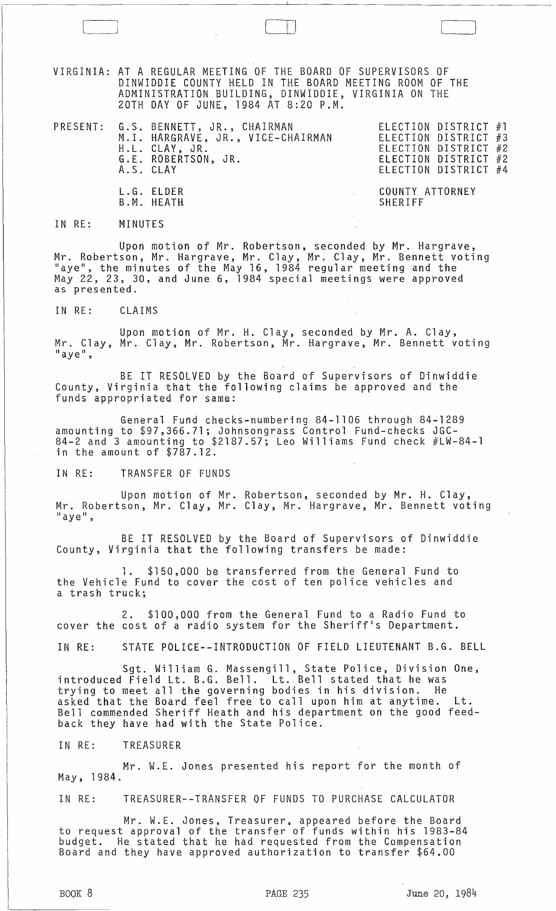VIRGINIA: AT A REGULAR MEETING OF THE BOARD OF SUPERVISORS OF DINWIDDIE COUNTY HELD IN THE BOARD MEETING ROOM OF THE ADMINISTRATION BUILDING, DINWIDDIE, VIRGINIA ON THE 20TH DAY OF JUNE, 1984 AT 8:20 P.M.

 $\begin{pmatrix} 1 & 1 & 1 \\ 1 & 1 & 1 \\ 1 & 1 & 1 \end{pmatrix}$ 

|  | PRESENT: G.S. BENNETT, JR., CHAIRMAN<br>M.I. HARGRAVE, JR., VICE-CHAIRMAN<br>H.L. CLAY, JR.<br>G.E. ROBERTSON, JR.<br>A.S. CLAY |                            | ELECTION DISTRICT #1<br>ELECTION DISTRICT #3<br>ELECTION DISTRICT #2<br>ELECTION DISTRICT #2<br>ELECTION DISTRICT #4 |  |
|--|---------------------------------------------------------------------------------------------------------------------------------|----------------------------|----------------------------------------------------------------------------------------------------------------------|--|
|  | L.G. ELDER<br>B.M. HEATH                                                                                                        | COUNTY ATTORNEY<br>SHERIFF |                                                                                                                      |  |

IN RE: MINUTES

Upon motion of Mr. Robertson, seconded by Mr. Hargrave, Mr. Robertson, Mr. Hargrave, Mr. Clay, Mr. Clay, Mr. Bennett voting<br>"aye", the minutes of the May 16, 1984 regular meeting and the May 22, 23, 30, and June 6, 1984 special meetings were approved as presented.

IN RE: CLAIMS

Upon motion of Mr. H. Clay, seconded by Mr. A. Clay, Mr. Clay, Mr. Clay, Mr. Robertson, Mr. Hargrave, Mr. Bennett voting<br>"aye",

BE IT RESOLVED by the Board of Supervisors of Dinwiddie County, Virginia that the following claims be approved and the funds appropriated for same:

General Fund checks-numbering 84-1106 through 84-1289 amounting to \$97,366.71; Johnsongrass Control Fund-checks JGC-84-2 and 3 amounting to \$2187.57; Leo Williams Fund check #LW-84-1 in the amount of  $$7\,\rm{87}.12$ .

IN RE: TRANSFER OF FUNDS

Upon motion of Mr. Robertson, seconded by Mr. H. Clay, Mr. Robertson, Mr. Clay, Mr. Clay, Mr. Hargrave, Mr. Bennett voting  $"$ aye",

BE IT RESOLVED by the Board of Supervisors of Dinwiddie County, Virginia that the following transfers be made:

1. \$150,000 be transferred from the General Fund to the Vehicle Fund to cover the cost of ten police vehicles and a trash truck;

2. \$100,000 from the General Fund to a Radio Fund to cover the cost of a radio system for the Sheriff's Department.

IN RE: STATE POLICE--INTRODUCTION OF FIELD LIEUTENANT B.G. BELL

Sgt. William G. Massengill, State Police, Division One, introduced Field Lt. B.G. Bell. Lt. Bell stated that he was trying to meet all the governing bodies in his division. He asked that the Board feel free to call upon him at anytime. Lt. Bell commended Sheriff Heath and his department on the good feedback they have had with the State Police.

IN RE: TREASURER

Mr. W.E. Jones presented his report for the month of May, 1984.

IN RE: TREASURER--TRANSFER OF FUNDS TO PURCHASE CALCULATOR

Mr. W.E. Jones, Treasurer, appeared before the Board to request approval of the transfer of funds within his 1983-84 budget. He stated that he had requested from the Compensation Board and they have approved authorization to transfer \$64.00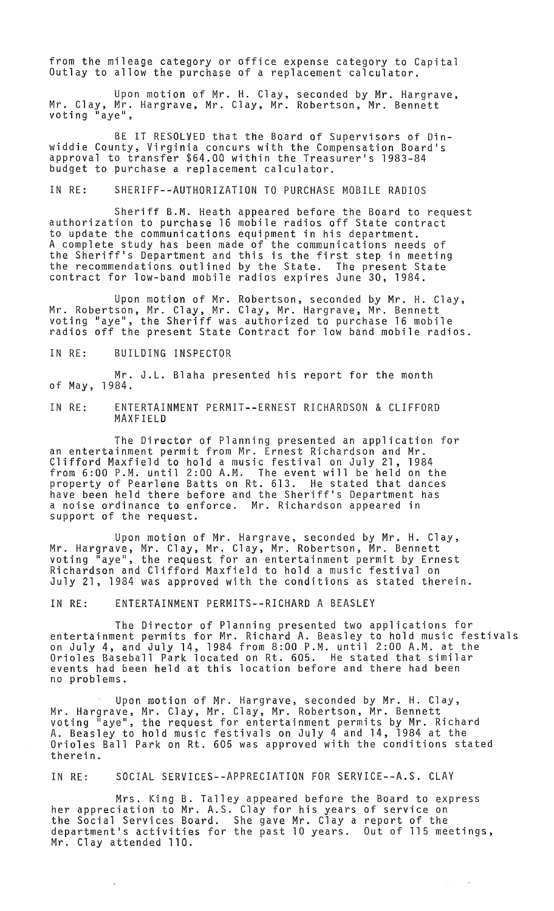from the mileage category or office expense category to Capital Outlay to allow the purchase of a replacement calculator.

Upon motion of Mr. H. Clay, seconded by Mr. Hargrave, Mr. Clay, Mr. Hargrave, Mr. Clay, Mr. Robertson, Mr. Bennett voting <sup>"</sup>aye",

BE IT RESOLVED that the Board of Supervisors of Dinwiddie County, Virginia concurs with the Compensation Board's approval to transfer \$64.00 within the Treasurer's 1983-84 budget to purchase a replacement calculator.

IN RE: SHERIFF--AUTHORIZATION TO PURCHASE MOBILE RADIOS

Sheriff B.M. Heath appeared before the Board to request authorization to purchase 16 mobile radios off State contract to update the communications equipment in his department. A complete study has been made of the communications needs of the Sheriff's Department and this is the first step in meeting the recommendations outlined by the State. The present State contract for low-band mobile radios expires June<sup>'</sup>30, 1984.

Upon motion of Mr. Robertson, seconded by Mr. H. Clay, Mr. Robertson, Mr. Clay, Mr. Clay, Mr. Hargrave, Mr. Bennett voting "aye", the Sheriff was authorized to purchase 16 mobile radios off the present State Contract for low band mobile radios.

IN RE: BUILDING INSPECTOR

Mr. J.L. Blaha presented his report for the month of May, 1984.

IN RE: ENTERTAINMENT PERMIT--ERNEST RICHARDSON & CLIFFORD MAXFIELD

The Director of Planning presented an application for an entertainment permit from Mr. Ernest Richardson and Mr. Clifford Maxfield to hold a music festival on July 21, 1984 from 6:00 P.M. until 2:00 A.M. The event will be held on the property of Pear1ene Batts on Rt. 613. He stated that dances have been held there before and the Sheriff's Department has a noise ordinance to enforce. Mr. Richardson appeared in support of the request.

Upon motion of Mr. Hargrave, seconded by Mr. H. Clay, Mr. Hargrave, Mr. Clay, Mr. Clay, Mr. Robertson, Mr. Bennett voting "aye", the request for an entertainment permit by Ernest Richardson and Clifford Maxfield to hold a music festival on July 21, 1984 was approved with the conditions as stated therein.

IN RE: ENTERTAINMENT PERMITS--RICHARD A BEASLEY

The Director of Planning presented two applications for entertainment permits for Mr. Richard A. Beasley to hold music festivals on July 4, and July 14, 1984 from 8:00 P.M. until 2:00 A.M. at the Orioles Baseball Park located on Rt. 605. He stated that similar events had been held at this location before and there had been no problems.

Upon motion of Mr. Hargrave, seconded by Mr. H. Clay, Mr. Hargrave, Mr. Clay, Mr. Clay, Mr. Robertson, Mr. Bennett voting "aye", the request for entertainment permits by Mr. Richard A. Beasley to hold music festivals on July 4 and 14, 1984 at the Orioles Ball Park on Rt. 605 was approved with the conditions stated therein.

IN RE: SOCIAL SERVICES--APPRECIATION FOR SERVICE--A.S. CLAY

Mrs. King B. Talley appeared before the Board to express her appreciation to Mr. A.S. Clay for his years of service on the Social Services Board. She gave Mr. Clay a report of the department's activities for the past 10 years. Out of 115 meetings, Mr. Clay attended 110.

 $\sim$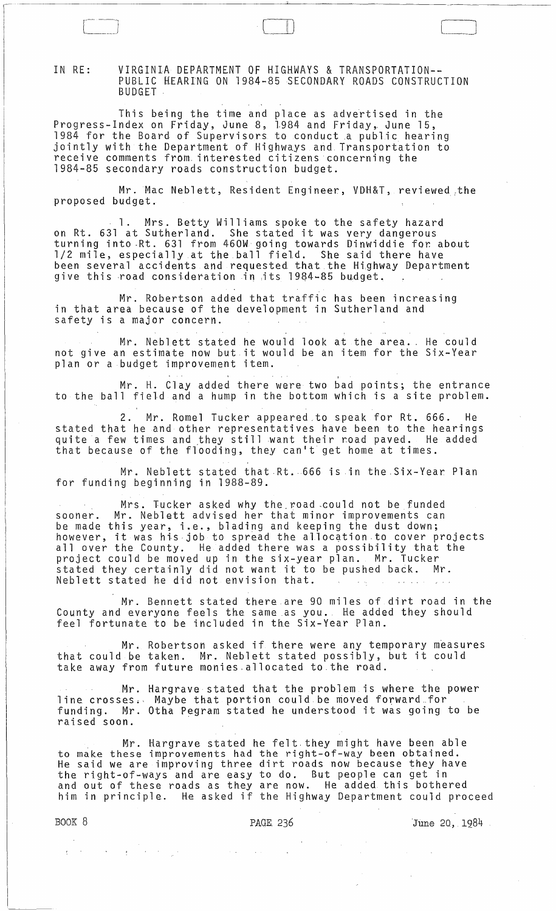IN RE: VIRGINIA DEPARTMENT OF HIGHWAYS & TRANSPORTATION-- PUBLIC HEARING ON 1984-85 SECONDARY ROADS CONSTRUCTION BUDGET

This being the time and place as advertised in the Progress-Index on Friday, June 8, 1.984 and Friday~ June 15, 1984 for the Board of Supervisors to conduct .a public hearing jointly with the Department of Highways and Transportation to receive comments from interested citizens concerning the 1984-85 secondary roads construction budget.

Mr. Mac Neblett, Resident Engineer, VDH&T, reviewed,the proposed budget.

1. Mrs. Betty Williams spoke to the safety hazard on Rt. 631 at Sutherland. She stated it was very dangerous turning into Rt. 631 from 460W going towards Dinwiddie for about 1/2 mile, especially at the ball field. She said there have been several accidents and requested. that the Hi,ghway Department give this road consideration in its 1984-85 budget.

Mr. Robertson added that traffic has been increasing in that area because of the development in Sutherland and safety is a major concern.

Mr. Neblett stated he would look at the area. He could not give an estimate now but it would be an item for the Six-Year plan or a budget improvement item.

, Mr. H. Clay added there were two bad points; the entrance to the ball field and a hump in the bottom which is a site problem.

2. Mr. Romel Tucker appeared to speak for Rt. 666. He stated that he and other representatives have been to the hearings quite a few times and they still want their road paved. He added that because of the flooding, they can't get home at times.

Mr. Neblett stated that Rt. 666 is in the Six-Year Plan for funding beginning in 1988-89.

Mrs. Tucker asked why the. road -could not be funded sooner. Mr. Neblett advised her that minor improvements can be made this year, i.e., blading and keeping the dust down; be made this year, i.e., biading and keeping the dust down, allover the County. He added there was a possibility that the project could be moved up in the six-year plan. Mr. Tucker project could be moved up in the six-year plan. Mr. lucket Neblett stated he did not envision that.

Mr. Bennett stated there are 90 miles of dirt road in the County and everyone feels the same as you. He added they should feel fortunate to be included in the Six-Year Plan.

Mr. Robertson asked if there were any temporary measures that could be taken. Mr. Neblett stated possibly, but it could take away from future monies.allocated to.the road.

Mr. Hargrave stated that the problem is where the power line crosses. Maybe that portion could be moved forward for funding. Mr. Otha Pegram stated he understood it was going to be raised soon.

Mr. Hargrave stated he felt. they might have been able to make these improvements had the right-of-way been obtained. He said we are improving three dirt roads now because they have the right-of-ways and are easy to do. But people can get in and out of these roads as they are now. He added this bothered him in principle. He asked if the Highway Department could proceed

BOOK 8 **PAGE 236** PAGE 236 June 20, 1984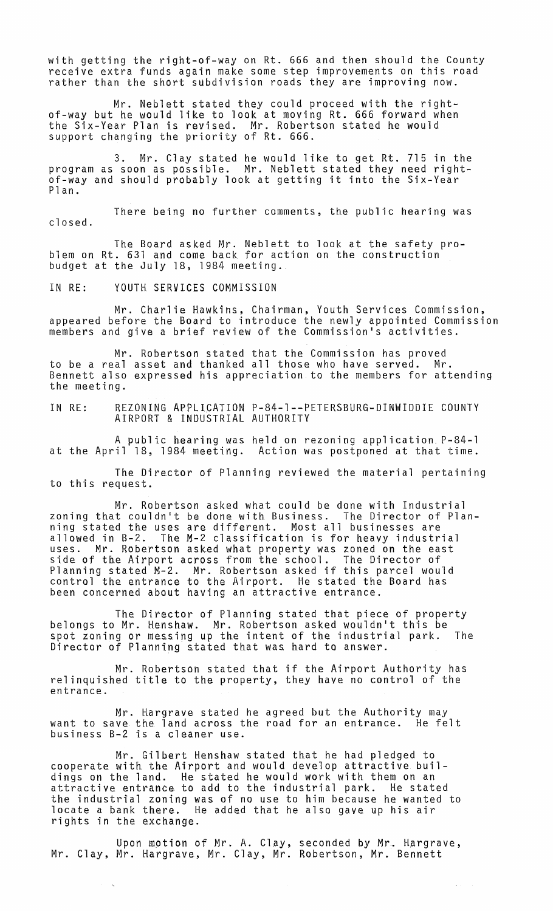with getting the right-of-way on Rt. 666 and then should the County receive extra funds again make some step improvements on this road rather than the short subdivision roads they are improving now.

Mr. Neblett stated they could proceed with the rightof-way but he would like to look at moving Rt. 666 forward when the Six-Year Plan is revised. Mr. Robertson stated he would support changing the priority of Rt. 666.

3. Mr. Clay stated he would like to get Rt. 715 in the program as soon as possible. Mr. Neblett stated they need rightof-way and should probably look at getting it into the Six-Year Plan.

There being no further comments, the public hearing was closed.

The Board asked Mr. Neblett to look at the safety problem on Rt. 631 and come back for action on the construction budget at the July 18, 1984 meeting.

IN RE: YOUTH SERVICES COMMISSION

Mr. Charlie Hawkins, Chairman, Youth Services Commission, appeared before the Board to introduce the newly appointed Commission members and give a brief review of the Commission's activities.

Mr. Robertson stated that the Commission has proved to be a real asset and thanked all those who have served. Mr. Bennett also expressed his appreciation to the members for attending the meeting.

IN RE: AEZONING APPLICATION P-84-1--PETERSBURG-DINWIDDIE COUNTY AIRPORT & INDUSTRIAL AUTHORITY

A public hearing was held on rezoning application P-84-l at the April 18, 1984 meeting. Action was postponed at that time.

The Director of Planning reviewed the material pertaining to this request.

Mr. Robertson asked what could be done with Industrial zoning that couldn't be done with Business. The Director of Planning stated the uses are different. Most all businesses are allowed in B-2. The M-2 classification is for heavy industrial uses. Mr. Robertson asked what property was zoned on the east side of the Airport across from the school. The Director of Planning stated M-2. Mr. Robertson asked if this parcel would control the entrance to the Airport. He stated the Board has been concerned about having an attractive entrance.

The Director of Planning stated that piece of property belongs to Mr. Henshaw. Mr. Robertson asked wouldn't this be spot zoning or messing up the intent of the industrial park. The Director of Planning stated that was hard to answer.

Mr. Robertson stated that if the Airport Authority has relinquished title to the property, they have no control of the entrance.

Mr. Hargrave stated he agreed but the Authority may want to save the land across the road for an entrance. He felt business B-2 is a cleaner use.

Mr. Gilbert Henshaw stated that he had pledged to cooperate with the Airport and would develop attractive buildings on the land. He stated he would work with them on an attractive entrance to add to the industrial park. He stated the industrial zoning was of no use to him because he wanted to locate a bank there. He added that he also gave up his air rights in the exchange.

Upon motion of Mr. A. Clay, seconded by Mr. Hargrave, Mr. Clay, Mr. Hargrave, Mr. Clay, Mr. Robertson, Mr. Bennett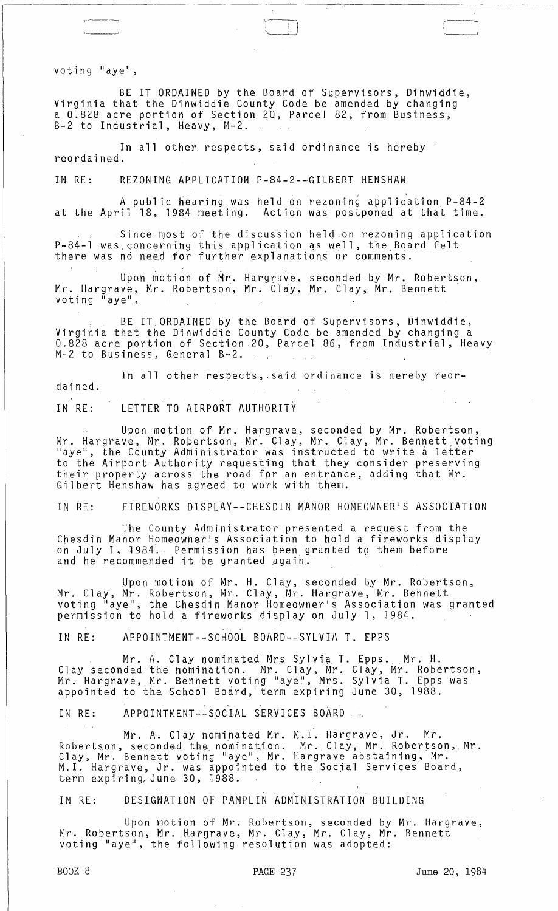voting "aye",

BE IT ORDAINED by the Board of Supervisors, Dinwiddie, Virginia that the Dinwiddie County Code be amended by changing a 0.828 acre portion of Section 20, Parcel 82, from Business, B-2 to Industrial, Heavy, M-2.

 $\Box$ 

In all other respects, said ordinance is hereby reordained.

IN RE: REZONING APPLICATION P-84-2~-GILBERT HENSHAW

A public hearing was held on rezoning application P-84-2 at the April 18, 1984 meeting. Action was postponed at that time.

Since most of the discussion held on rezoning application P-84-1 was concerning this application as well, the Board felt there was no need for further explanations or comments.

Upon motion of Mr. Hargrave, seconded by Mr. Robertson, Mr. Hargrave, Mr. Robertson, Mr. Clay, Mr. Clay, Mr. Bennett voting "aye"

BE IT ORDAINED by the Board of Supervisors, Dinwiddie, Virginia that the Dinwiddie County Code be amended by changing a 0.828 acre portion of Section 20, Parcel 86, from Industrial, Heavy M-2 to Business, General B-2.

In all other respects, said ordinance is hereby reordained.

IN RE: LETTER TO AIRPORT AUTHORITY

Upon motion of Mr. Hargrave, seconded by Mr. Robertson, Mr. Hargrave, Mr. Robertson, Mr. Clay, Mr. Clay, Mr. Bennett voting liations, the County Administrator was instructed to write a letter to the Airport Authority requesting that they consider preserving their property across the road for an entrance, adding that Mr. Gilbert Henshaw has agreed to work with them.

IN RE: FIREWORKS DISPLAY--CHESDIN MANOR HOMEOWNER1S ASSOCIATION

The County Administrator presented a request from the Chesdin Manor Homeowner's Association to hold a fireworks display on July 1, 1984. Permission has been granted to them before and he recommended it be granted again.

Upon motion of Mr. H. Clay, seconded by Mr. Robertson, Mr. Clay, Mr. Robertson, Mr. Clay, Mr. Hargrave, Mr. Bennett voting "aye", the Chesdin Manor Homeowner's Association was granted permission to hold a fireworks display on July 1, 1984.

IN RE: APPOINTMENT--SCHOOL BOARD--SYLVIA T. EPPS

Mr. A. Clay nominated Mrs Sylvia T. Epps. <sub>M</sub>r. H. Clay seconded the nomination. Mr. Clay, Mr. Clay, Mr. Robertson, Mr. Hargrave, Mr. Bennett voting "aye", Mrs. Sylvia T. Epps was appointed to the School Board, term expiring June 30, 1988.

**IN RE: APPOINTMENT--SOCIAL SERVICES BOARD** 

Mr. A. Clay nominated Mr.<br>Robertson, seconded the nomination. nower coor, seconder she harman where  $\sim$ oldy, M.: Benness resing aye , M.: term expiring, June 30, 1988. M. I. Hargrave, Jr. Mr. Mr. Clay, Mr. Robertson, Mr. Hargrave abstaining, Mr. the Socjal Services Board,

IN RE: DESIGNATION OF PAMPLIN ADMINISTRATION BUILDING

Upon motion of Mr. Robertson, seconded by Mr. Hargrave, Mr. Robertson, Mr. Hargrave, Mr. Clay, Mr. Clay, Mr. Bennett voting "aye", the following resolution was adopted: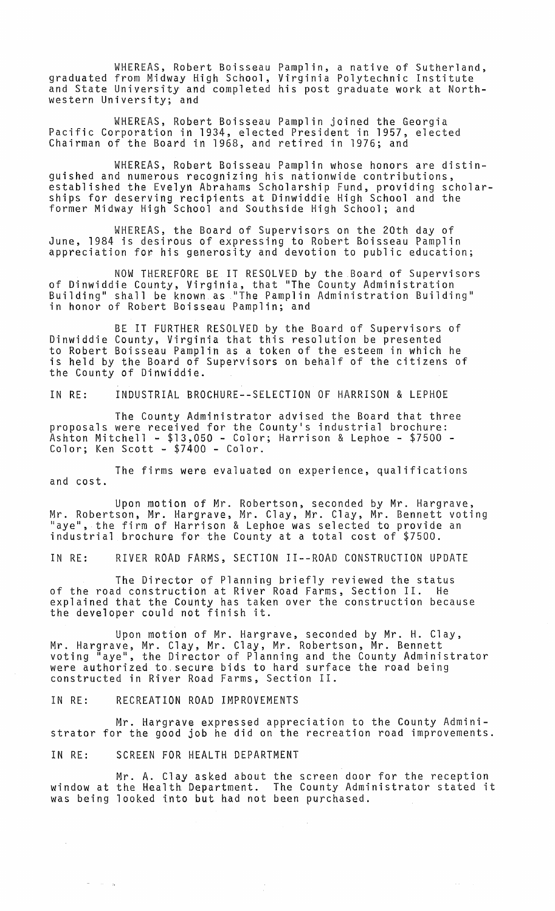WHEREAS, Robert Boisseau Pamplin, a native of Sutherland, graduated from Midway High School, Virginia Polytechnic Institute and State University and completed his post graduate work at Northwestern University; and

WHEREAS, Robert Boisseau Pamplin joined the Georgia Pacific Corporation in 1934, elected President in 1957, elected Chairman of the Board in 1968, and retired in 1976; and

WHEREAS, Robert Boisseau Pamplin whose honors are distinguished and numerous recognizing his nationwide contributions, established the Evelyn Abrahams Scholarship Fund, providing scholarships for deserving recipients at Dinwiddie High School and the former Midway High School and Southside High School; and

WHEREAS, the Board of Supervisors on the 20th day of June, 1984 is desirous of expressing to Robert Boisseau Pamplin appreciation for. his generosity and devotion to public education;

NOW THEREFORE BE IT RESOLVED by the Board of Supervisors of Dinwiddie County, Virginia, that "The County Administration Building" shall be known as liThe Pamplin Administration Building" in honor of Robert Boisseau Pamplin; and

BE IT FURTHER RESOLVED by the Board of Supervisors of Dinwiddie County, Virginia that this resolution be presented to Robert Boisseau Pamplin as a token of the esteem in which he is held by the Board of Supervisors on behalf of the citizens of the County of Dinwiddie.

IN RE: INDUSTRIAL BROCHURE--SELECTION OF HARRISON & LEPHOE

The County Administrator advised the Board that three proposals were received for the County·s industrial brochure: Ashton Mitchell - \$13,050 - Color; Harrison & Lephoe - \$7500 - Color; Ken Scott - \$7400 - Color.

The firms were evaluated on experience, qualifications and cost.

Upon motion of Mr. Robertson, seconded by Mr. Hargrave, Mr. Robertson, Mr. Hargrave, Mr. Clay, Mr. Clay, Mr. Bennett voting "aye", the firm of Harrison & Lephoe was selected to provide an industrial brochure for the County at a total cost of \$7500.

IN RE: RIVER ROAD FARMS, SECTION II--ROAD CONSTRUCTION UPDATE

The Director of Planning briefly reviewed the status of the road construction at River Road Farms, Section II. He explained that the County has taken over the construction because the developer could not finish it.

Upon motton of Mr. Hargrave, seconded by Mr. H. Clay, Mr. Hargrave, Mr. Clay, Mr. Clay, Mr. Robertson, Mr. Bennett voting "aye", the Director of Planning and the County Administrator were authorized to, secure bids to hard surface the road being constructed in River Road Farms, Section II.

IN RE: RECREATION ROAD IMPROVEMENTS

Mr. Hargrave expressed appreciation to the County Administrator for the good job he did on the recreation road improvements.

IN RE: SCREEN FOR HEALTH DEPARTMENT

 $\mathcal{L}$ 

 $\omega_{\rm{max}}$  and  $\omega_{\rm{max}}$ 

Mr. A. Clay asked about the screen door for the reception window at the Health Department. The County Administrator stated it was being looked into but had not been purchased.

 $\sim$   $\sim$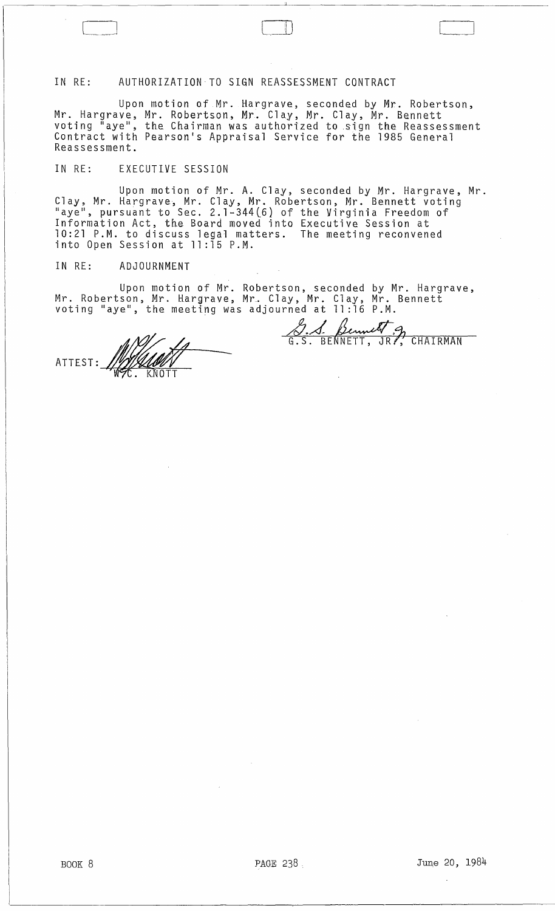## IN RE: AUTHORIZATION TO SIGN REASSESSMENT CONTRACT

 $\Box$ 

Upon motion of Mr. Hargrave, seconded by Mr. Robertson, Mr. Hargrave, Mr. Robertson, Mr. Clay, Mr. Clay, Mr. Bennett<br>voting "aye", the Chairman was authorized to sign the Reassessment Contract with Pearson's Appraisal Service for the 1985 General Reassessment.

## IN RE: EXECUTIVE SESSION

Upon motion of Mr. A. Clay, seconded by Mr. Hargrave, Mr. Clay, Mr. Hargrave, Mr. Clay, Mr. Robertson, Mr. Bennett voting Haye H, pursuant to Sec. 2.1-344l6} of the Virginia Freedom of Information Act, the Board moved into Executive Session at 10:21 P.M. to discuss legal matters. The meeting reconvened into Open Session at 11:15 P.M.

## IN RE: ADJOURNMENT

Upon motion of Mr. Robertson, seconded by Mr. Hargrave, Mr. Robertson, Mr. Hargrave, Mr. Clay, Mr. Clay, Mr. Bennett voting "aye", the meeting was adjourned at 11:16 P.M.

<u>8. 1 Bennett g</u><br>G.S. BENNETT, JRP, CHAIRMAN

 $\ddot{\phantom{a}}$ 

ATTEST: 19/1/1001